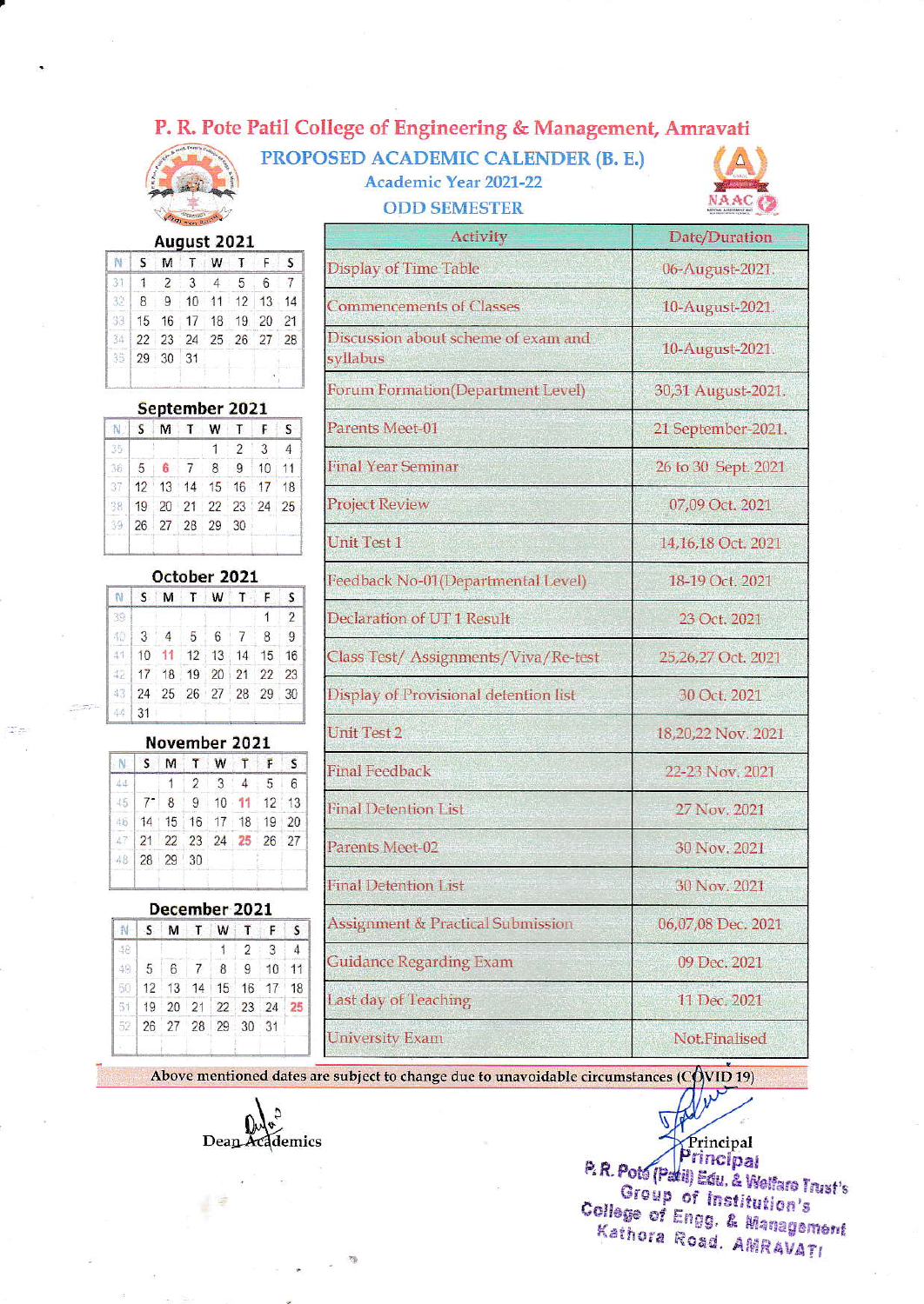## P. R. Pote Patil College of Engineering & Management, Amravati



N

S M

|   | Virginian Balance |             |  |               |
|---|-------------------|-------------|--|---------------|
|   |                   | August 2021 |  |               |
| M |                   | W           |  | Display of Ti |
|   |                   |             |  |               |

| 111221                  |  |  |  |
|-------------------------|--|--|--|
| 32 8 9 10 11 12 13 14   |  |  |  |
| 33 15 16 17 18 19 20 21 |  |  |  |
| 34 22 23 24 25 26 27 28 |  |  |  |
| 35 29 30 31             |  |  |  |
|                         |  |  |  |

#### September 2021

| N. | s.                      |  | MTWTFS |             |                |                |
|----|-------------------------|--|--------|-------------|----------------|----------------|
| 35 |                         |  |        | $1 \quad 2$ | $\overline{3}$ | $\overline{4}$ |
|    | 36 5 6 7 8 9 10 11      |  |        |             |                |                |
|    | 37 12 13 14 15 16 17 18 |  |        |             |                |                |
|    | 38 19 20 21 22 23 24 25 |  |        |             |                |                |
|    | 39 26 27 28 29 30       |  |        |             |                |                |

#### October 2021

|            | NSMTWTF                 |  |  | $\mathsf{S}$   |
|------------|-------------------------|--|--|----------------|
| 39         |                         |  |  | $\overline{2}$ |
|            | $4013$ 4 5 6 7 8 9      |  |  |                |
|            | 41 10 11 12 13 14 15 16 |  |  |                |
|            | 42 17 18 19 20 21 22 23 |  |  |                |
|            | 43 24 25 26 27 28 29 30 |  |  |                |
| $111 - 24$ |                         |  |  |                |

#### November 2021 NSMTWTFS

| 144 |                                       |  |  | $1 \t3 \t4 \t5 \t6$ |  |
|-----|---------------------------------------|--|--|---------------------|--|
|     | $15$ 7 8 9 10 11 12 13                |  |  |                     |  |
|     | 46   14   15   16   17   18   19   20 |  |  |                     |  |
|     | 47 21 22 23 24 25 26 27               |  |  |                     |  |
|     | 48 28 29 30                           |  |  |                     |  |
|     |                                       |  |  |                     |  |

#### December 2021

|  |                | NSMTWTFS |                                                                                                          |
|--|----------------|----------|----------------------------------------------------------------------------------------------------------|
|  | $\overline{1}$ |          |                                                                                                          |
|  |                |          |                                                                                                          |
|  |                |          |                                                                                                          |
|  |                |          |                                                                                                          |
|  |                |          |                                                                                                          |
|  |                |          | 2:3:<br>49 5 6 7 8 9 10 11<br>50 12 13 14 15 16 17 18<br>51 19 20 21 22 23 24 25<br>52 26 27 28 29 30 31 |

| PROPOSED ACADEMIC CALENDER (B. E.) |
|------------------------------------|
| <b>Academic Year 2021-22</b>       |
| <b>ODD SEMESTER</b>                |



| Activity                                        | Date/Duration       |
|-------------------------------------------------|---------------------|
| <b>Display of Time Table</b>                    | 06-August-2021.     |
| <b>Commencements of Classes</b>                 | 10-August-2021.     |
| Discussion about scheme of exam and<br>syllabus | 10-August-2021.     |
| Forum Formation(Department Level)               | 30,31 August-2021.  |
| Parents Meet-01                                 | 21 September-2021.  |
| <b>Final Year Seminar</b>                       | 26 to 30 Sept. 2021 |
| <b>Project Review</b>                           | 07,09 Oct. 2021     |
| <b>Unit Test 1</b>                              | 14,16,18 Oct. 2021  |
| Feedback No-01(Departmental Level)              | 18-19 Oct. 2021     |
| Declaration of UT1 Result                       | 23 Oct. 2021        |
| Class Test/ Assignments/Viva/Re-test            | 25,26,27 Oct. 2021  |
| Display of Provisional detention list           | 30 Oct. 2021        |
| <b>Unit Test 2</b>                              | 18,20,22 Nov. 2021  |
| <b>Final Feedback</b>                           | 22-23 Nov. 2021     |
| <b>Final Detention List</b>                     | 27 Nov. 2021        |
| Parents Meet-02                                 | 30 Nov. 2021        |
| Final Detention List                            | 30 Nov. 2021        |
| <b>Assignment &amp; Practical Submission</b>    | 06,07,08 Dec. 2021  |
| <b>Guidance Regarding Exam</b>                  | 09 Dec. 2021        |
| <b>Last day of Teaching</b>                     | 11 Dec. 2021        |
| <b>University Exam</b>                          | Not.Finalised       |

Above mentioned dates are subject to change due to unavoidable circumstances ( $CQVID$  19)

Dean Academics

P. R. Pots (Padi) Edu. & Welfare Trust's Group of Institution's College of Engg. & Management Kathora Road, AMRAVATI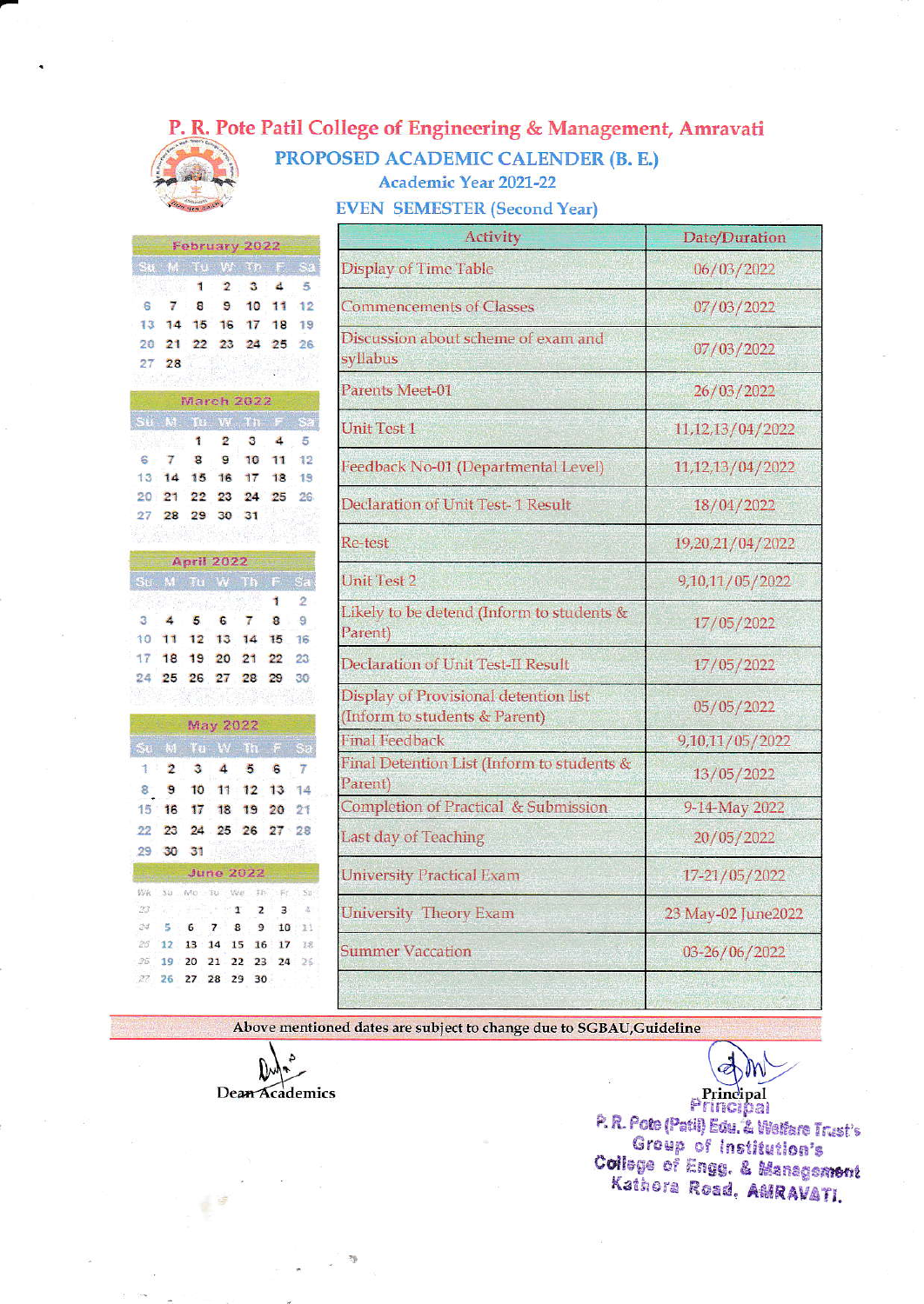### P. R. Pote Patil College of Engineering & Management, Amravati



PROPOSED ACADEMIC CALENDER (B. E.) **Academic Year 2021-22** 

**EVEN SEMESTER (Second Year)** 

|                |          |                             |                 | February 2022                       |                      |                | Activity                                                               | Date/Duration      |
|----------------|----------|-----------------------------|-----------------|-------------------------------------|----------------------|----------------|------------------------------------------------------------------------|--------------------|
|                |          | 1                           | 2               | Su M Tu W Th F Sa<br>3              | 4                    | 5              | <b>Display of Time Table</b>                                           | 06/03/2022         |
| 8              | 7<br>14  | 8<br>15                     | 9<br>16         | 10<br>17                            | 11<br>18             | 12<br>19       | <b>Commencements of Classes</b>                                        | 07/03/2022         |
| 27             | 21<br>28 | 22                          | 23              | 24                                  | 25                   | 26             | Discussion about scheme of exam and<br>syllabus                        | 07/03/2022         |
|                |          |                             |                 | March 2022                          |                      |                | Parents Meet-01                                                        | 26/03/2022         |
|                |          | 1                           | 2               | Su M To W Th F Sa<br>з              | 4                    | 5              | <b>Unit Test 1</b>                                                     | 11, 12, 13/04/2022 |
|                | 7<br>14  | 8<br>15                     | G<br>16         | 10<br>17                            | 11<br>18             | 12<br>19       | Feedback No-01 (Departmental Level)                                    | 11,12,13/04/2022   |
|                | 28       | 22<br>29                    | 23<br>30        | 24<br>31                            | 25                   | 26             | Declaration of Unit Test-1 Result                                      | 18/04/2022         |
|                |          |                             |                 |                                     |                      |                | Re-test                                                                | 19,20,21/04/2022   |
|                |          | <b>April 2022</b>           |                 | Su M Tu W Th F Sa                   |                      |                | <b>Unit Test 2</b>                                                     | 9,10,11/05/2022    |
|                | 4<br>11  | the strike plans<br>5<br>12 | 6<br>13         | 7<br>14                             | 1<br>8<br>15         | 2<br>g<br>16   | Likely to be detend (Inform to students &<br>Parent)                   | 17/05/2022         |
| 24             | 18       | 19<br>25 26 27              | 20              | 21<br>28                            | 22<br>29             | 23<br>30       | Declaration of Unit Test-II Result                                     | 17/05/2022         |
|                |          |                             | <b>May 2022</b> |                                     |                      |                | Display of Provisional detention list<br>(Inform to students & Parent) | 05/05/2022         |
|                |          |                             |                 | Su M Tu W Th F Sa                   |                      |                | <b>Final Feedback</b>                                                  | 9,10,11/05/2022    |
| 8              | 2<br>9   | 3<br>10                     | 4<br>11         | 5<br>12                             | $6\phantom{a}$<br>13 | 7<br>14        | Final Detention List (Inform to students &<br>Parent)                  | 13/05/2022         |
| 15             | 16       | 17                          | 18              | 19 20                               |                      | 21             | <b>Completion of Practical &amp; Submission</b>                        | 9-14-May 2022      |
| 29             | 23       | 24<br>30 31                 |                 | 25 26 27 28                         |                      |                | Last day of Teaching                                                   | 20/05/2022         |
|                |          |                             |                 | <b>June 2022</b>                    |                      |                | <b>University Practical Exam</b>                                       | 17-21/05/2022      |
| 转值<br>23<br>24 | 122<br>к | Wo Tu Wa<br>6               | 7               | TIV.<br>$\mathbf{1}$<br>z<br>8<br>9 | 将近<br>з<br>10        | 511<br>遙<br>11 | <b>University Theory Exam</b>                                          | 23 May-02 June2022 |
| 25<br>35       | 12       | 13:14<br>20                 | 15<br>21        | 16<br>22<br>23                      | 17<br>24             | 18<br>26       | <b>Summer Vaccation</b>                                                | 03-26/06/2022      |
| 27.            | 26       | 27                          | 28 29           | 30                                  |                      |                |                                                                        |                    |

Above mentioned dates are subject to change due to SGBAU, Guideline

 $\mathcal{D}^{\mathcal{N}_{\mathcal{P}_{\mathcal{P}}}}$ 

Dean Academics

Principal

mncipal P. R. Pote (Patil) Edu. & Welfare Trust's Group of Institution's College of Engg. & Management Kathora Road, AMRAVATI.